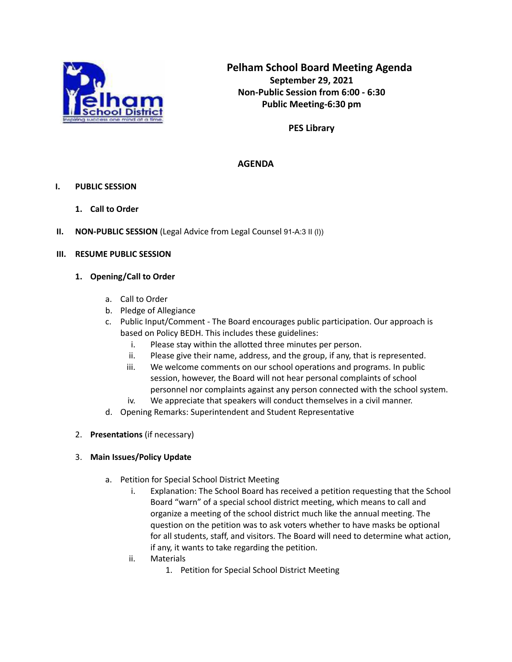

**PES Library**

# **AGENDA**

## **I. PUBLIC SESSION**

- **1. Call to Order**
- **II. NON-PUBLIC SESSION** (Legal Advice from Legal Counsel 91-A:3 II (l))

## **III. RESUME PUBLIC SESSION**

### **1. Opening/Call to Order**

- a. Call to Order
- b. Pledge of Allegiance
- c. Public Input/Comment The Board encourages public participation. Our approach is based on Policy BEDH. This includes these guidelines:
	- i. Please stay within the allotted three minutes per person.
	- ii. Please give their name, address, and the group, if any, that is represented.
	- iii. We welcome comments on our school operations and programs. In public session, however, the Board will not hear personal complaints of school personnel nor complaints against any person connected with the school system. iv. We appreciate that speakers will conduct themselves in a civil manner.
- d. Opening Remarks: Superintendent and Student Representative
- 2. **Presentations** (if necessary)

# 3. **Main Issues/Policy Update**

- a. Petition for Special School District Meeting
	- i. Explanation: The School Board has received a petition requesting that the School Board "warn" of a special school district meeting, which means to call and organize a meeting of the school district much like the annual meeting. The question on the petition was to ask voters whether to have masks be optional for all students, staff, and visitors. The Board will need to determine what action, if any, it wants to take regarding the petition.
	- ii. Materials
		- 1. Petition for Special School District Meeting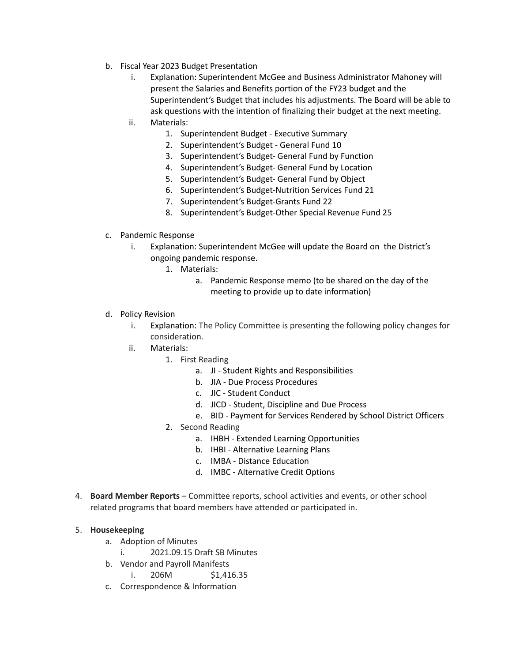- b. Fiscal Year 2023 Budget Presentation
	- i. Explanation: Superintendent McGee and Business Administrator Mahoney will present the Salaries and Benefits portion of the FY23 budget and the Superintendent's Budget that includes his adjustments. The Board will be able to ask questions with the intention of finalizing their budget at the next meeting.

## ii. Materials:

- 1. Superintendent Budget Executive Summary
- 2. Superintendent's Budget General Fund 10
- 3. Superintendent's Budget- General Fund by Function
- 4. Superintendent's Budget- General Fund by Location
- 5. Superintendent's Budget- General Fund by Object
- 6. Superintendent's Budget-Nutrition Services Fund 21
- 7. Superintendent's Budget-Grants Fund 22
- 8. Superintendent's Budget-Other Special Revenue Fund 25
- c. Pandemic Response
	- i. Explanation: Superintendent McGee will update the Board on the District's ongoing pandemic response.
		- 1. Materials:
			- a. Pandemic Response memo (to be shared on the day of the meeting to provide up to date information)
- d. Policy Revision
	- i. Explanation: The Policy Committee is presenting the following policy changes for consideration.
	- ii. Materials:
		- 1. First Reading
			- a. JI Student Rights and Responsibilities
			- b. JIA Due Process Procedures
			- c. JIC Student Conduct
			- d. JICD Student, Discipline and Due Process
			- e. BID Payment for Services Rendered by School District Officers
		- 2. Second Reading
			- a. IHBH Extended Learning Opportunities
			- b. IHBI Alternative Learning Plans
			- c. IMBA Distance Education
			- d. IMBC Alternative Credit Options
- 4. **Board Member Reports** Committee reports, school activities and events, or other school related programs that board members have attended or participated in.

### 5. **Housekeeping**

- a. Adoption of Minutes
	- i. 2021.09.15 Draft SB Minutes
- b. Vendor and Payroll Manifests
	- i. 206M \$1,416.35
- c. Correspondence & Information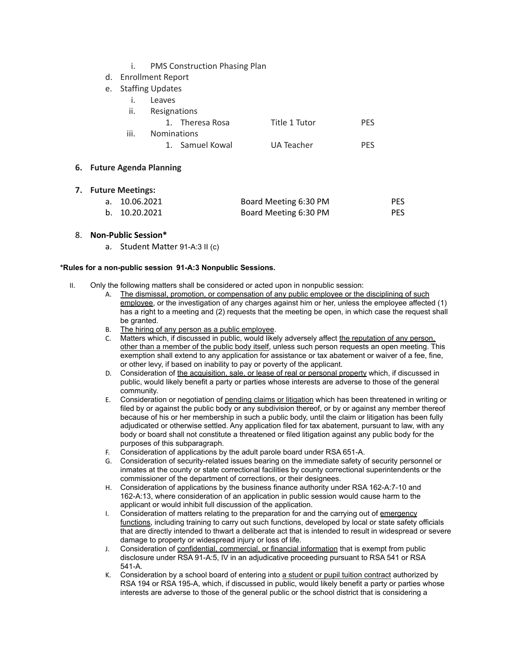- i. PMS Construction Phasing Plan
- d. Enrollment Report
- e. Staffing Updates
	- i. Leaves
	- ii. Resignations

# 1. Theresa Rosa Title 1 Tutor PES iii. Nominations 1. Samuel Kowal **UA Teacher** PES

### **6. Future Agenda Planning**

| <b>Future Meetings:</b> |               |                       |            |
|-------------------------|---------------|-----------------------|------------|
|                         | a. 10.06.2021 | Board Meeting 6:30 PM | <b>PES</b> |
|                         | b. 10.20.2021 | Board Meeting 6:30 PM | <b>PES</b> |

#### 8. **Non-Public Session\***

a. Student Matter 91-A:3 II (c)

### **\*Rules for a non-public session 91-A:3 Nonpublic Sessions.**

- II. Only the following matters shall be considered or acted upon in nonpublic session:
	- A. The dismissal, promotion, or compensation of any public employee or the disciplining of such employee, or the investigation of any charges against him or her, unless the employee affected (1) has a right to a meeting and (2) requests that the meeting be open, in which case the request shall be granted.
	- B. The hiring of any person as a public employee.
	- C. Matters which, if discussed in public, would likely adversely affect the reputation of any person, other than a member of the public body itself, unless such person requests an open meeting. This exemption shall extend to any application for assistance or tax abatement or waiver of a fee, fine, or other levy, if based on inability to pay or poverty of the applicant.
	- D. Consideration of the acquisition, sale, or lease of real or personal property which, if discussed in public, would likely benefit a party or parties whose interests are adverse to those of the general community.
	- E. Consideration or negotiation of pending claims or litigation which has been threatened in writing or filed by or against the public body or any subdivision thereof, or by or against any member thereof because of his or her membership in such a public body, until the claim or litigation has been fully adjudicated or otherwise settled. Any application filed for tax abatement, pursuant to law, with any body or board shall not constitute a threatened or filed litigation against any public body for the purposes of this subparagraph.
	- F. Consideration of applications by the adult parole board under RSA 651-A.
	- G. Consideration of security-related issues bearing on the immediate safety of security personnel or inmates at the county or state correctional facilities by county correctional superintendents or the commissioner of the department of corrections, or their designees.
	- H. Consideration of applications by the business finance authority under RSA 162-A:7-10 and 162-A:13, where consideration of an application in public session would cause harm to the applicant or would inhibit full discussion of the application.
	- I. Consideration of matters relating to the preparation for and the carrying out of emergency functions, including training to carry out such functions, developed by local or state safety officials that are directly intended to thwart a deliberate act that is intended to result in widespread or severe damage to property or widespread injury or loss of life.
	- J. Consideration of confidential, commercial, or financial information that is exempt from public disclosure under RSA 91-A:5, IV in an adjudicative proceeding pursuant to RSA 541 or RSA 541-A.
	- K. Consideration by a school board of entering into a student or pupil tuition contract authorized by RSA 194 or RSA 195-A, which, if discussed in public, would likely benefit a party or parties whose interests are adverse to those of the general public or the school district that is considering a